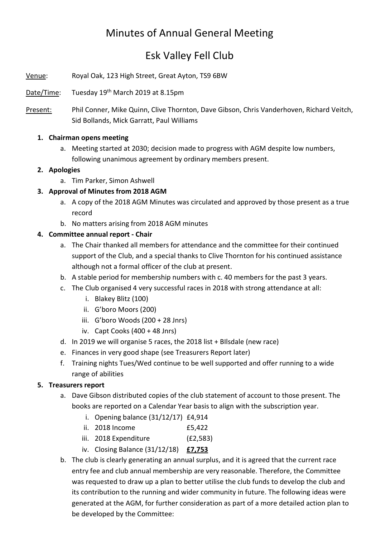# Minutes of Annual General Meeting

# Esk Valley Fell Club

Venue: Royal Oak, 123 High Street, Great Ayton, TS9 6BW

Date/Time: Tuesday 19th March 2019 at 8.15pm

Present: Phil Conner, Mike Quinn, Clive Thornton, Dave Gibson, Chris Vanderhoven, Richard Veitch, Sid Bollands, Mick Garratt, Paul Williams

#### 1. Chairman opens meeting

a. Meeting started at 2030; decision made to progress with AGM despite low numbers, following unanimous agreement by ordinary members present.

#### 2. Apologies

a. Tim Parker, Simon Ashwell

### 3. Approval of Minutes from 2018 AGM

- a. A copy of the 2018 AGM Minutes was circulated and approved by those present as a true record
- b. No matters arising from 2018 AGM minutes

#### 4. Committee annual report - Chair

- a. The Chair thanked all members for attendance and the committee for their continued support of the Club, and a special thanks to Clive Thornton for his continued assistance although not a formal officer of the club at present.
- b. A stable period for membership numbers with c. 40 members for the past 3 years.
- c. The Club organised 4 very successful races in 2018 with strong attendance at all:
	- i. Blakey Blitz (100)
	- ii. G'boro Moors (200)
	- iii. G'boro Woods (200 + 28 Jnrs)
	- iv. Capt Cooks (400 + 48 Jnrs)
- d. In 2019 we will organise 5 races, the 2018 list + BIlsdale (new race)
- e. Finances in very good shape (see Treasurers Report later)
- f. Training nights Tues/Wed continue to be well supported and offer running to a wide range of abilities

#### 5. Treasurers report

- a. Dave Gibson distributed copies of the club statement of account to those present. The books are reported on a Calendar Year basis to align with the subscription year.
	- i. Opening balance (31/12/17) £4,914
	- ii. 2018 Income £5,422
	- iii. 2018 Expenditure (£2,583)
	- iv. Closing Balance  $(31/12/18)$  **£7,753**
- b. The club is clearly generating an annual surplus, and it is agreed that the current race entry fee and club annual membership are very reasonable. Therefore, the Committee was requested to draw up a plan to better utilise the club funds to develop the club and its contribution to the running and wider community in future. The following ideas were generated at the AGM, for further consideration as part of a more detailed action plan to be developed by the Committee: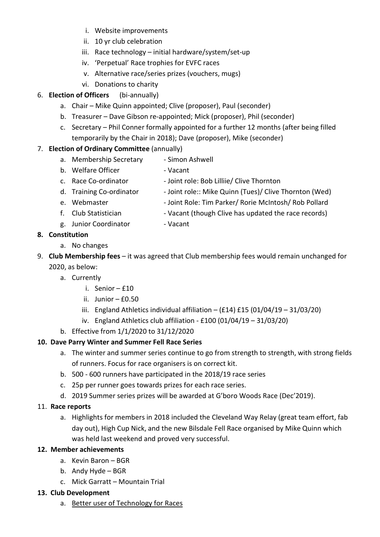- i. Website improvements
- ii. 10 yr club celebration
- iii. Race technology initial hardware/system/set-up
- iv. 'Perpetual' Race trophies for EVFC races
- v. Alternative race/series prizes (vouchers, mugs)
- vi. Donations to charity

### 6. Election of Officers (bi-annually)

- a. Chair Mike Quinn appointed; Clive (proposer), Paul (seconder)
- b. Treasurer Dave Gibson re-appointed; Mick (proposer), Phil (seconder)
- c. Secretary Phil Conner formally appointed for a further 12 months (after being filled temporarily by the Chair in 2018); Dave (proposer), Mike (seconder)

## 7. Election of Ordinary Committee (annually)

- a. Membership Secretary Simon Ashwell
- b. Welfare Officer  **Vacant**
- c. Race Co-ordinator Joint role: Bob Lilliie/ Clive Thornton
- d. Training Co-ordinator Joint role:: Mike Quinn (Tues)/ Clive Thornton (Wed)
- e. Webmaster Joint Role: Tim Parker/ Rorie McIntosh/ Rob Pollard
- f. Club Statistician Vacant (though Clive has updated the race records)
- g. Junior Coordinator Vacant
	-

## 8. Constitution

- a. No changes
- 9. Club Membership fees it was agreed that Club membership fees would remain unchanged for 2020, as below:
	- a. Currently
		- i. Senior £10
		- ii. Junior  $-$  £0.50
		- iii. England Athletics individual affiliation  $(f14) f15 (01/04/19 31/03/20)$
		- iv. England Athletics club affiliation £100 (01/04/19 31/03/20)
	- b. Effective from 1/1/2020 to 31/12/2020

## 10. Dave Parry Winter and Summer Fell Race Series

- a. The winter and summer series continue to go from strength to strength, with strong fields of runners. Focus for race organisers is on correct kit.
- b. 500 600 runners have participated in the 2018/19 race series
- c. 25p per runner goes towards prizes for each race series.
- d. 2019 Summer series prizes will be awarded at G'boro Woods Race (Dec'2019).

### 11. Race reports

a. Highlights for members in 2018 included the Cleveland Way Relay (great team effort, fab day out), High Cup Nick, and the new Bilsdale Fell Race organised by Mike Quinn which was held last weekend and proved very successful.

## 12. Member achievements

- a. Kevin Baron BGR
- b. Andy Hyde BGR
- c. Mick Garratt Mountain Trial

### 13. Club Development

a. Better user of Technology for Races